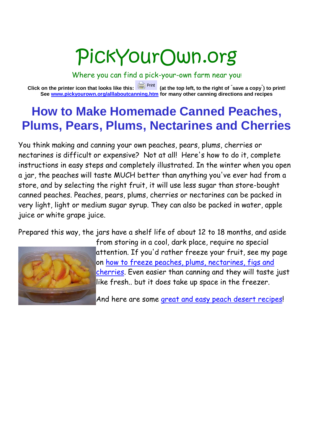# PickYourOwn.org

Where you can find a pick-your-own farm near you!

**Click on the printer icon that looks like this: (at the top left, to the right of " save a copy" ) to print! See www.pickyourown.org/alllaboutcanning.htm for many other canning directions and recipes**

### **How to Make Homemade Canned Peaches, Plums, Pears, Plums, Nectarines and Cherries**

You think making and canning your own peaches, pears, plums, cherries or nectarines is difficult or expensive? Not at all! Here's how to do it, complete instructions in easy steps and completely illustrated. In the winter when you open a jar, the peaches will taste MUCH better than anything you've ever had from a store, and by selecting the right fruit, it will use less sugar than store-bought canned peaches. Peaches, pears, plums, cherries or nectarines can be packed in very light, light or medium sugar syrup. They can also be packed in water, apple juice or white grape juice.

Prepared this way, the jars have a shelf life of about 12 to 18 months, and aside



from storing in a cool, dark place, require no special attention. If you'd rather freeze your fruit, see my page on how to freeze peaches, plums, nectarines, figs and cherries. Even easier than canning and they will taste just like fresh.. but it does take up space in the freezer.

And here are some great and easy peach desert recipes!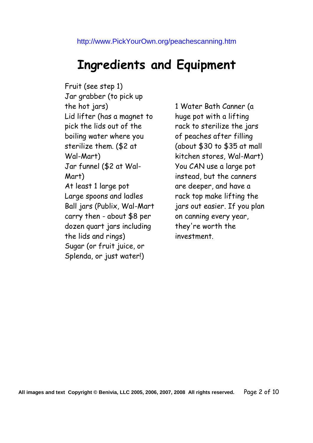## **Ingredients and Equipment**

Fruit (see step 1) Jar grabber (to pick up the hot jars) Lid lifter (has a magnet to pick the lids out of the boiling water where you sterilize them. (\$2 at Wal-Mart) Jar funnel (\$2 at Wal-Mart) At least 1 large pot Large spoons and ladles Ball jars (Publix, Wal-Mart carry then - about \$8 per dozen quart jars including the lids and rings) Sugar (or fruit juice, or Splenda, or just water!)

1 Water Bath Canner (a huge pot with a lifting rack to sterilize the jars of peaches after filling (about \$30 to \$35 at mall kitchen stores, Wal-Mart) You CAN use a large pot instead, but the canners are deeper, and have a rack top make lifting the jars out easier. If you plan on canning every year, they're worth the investment.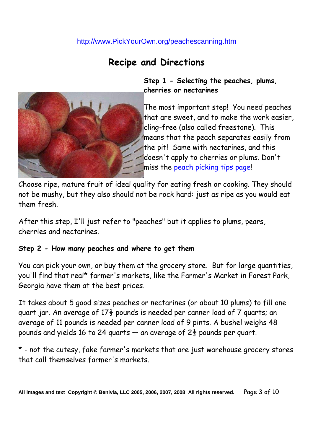### **Recipe and Directions**



**Step 1 - Selecting the peaches, plums, cherries or nectarines**

The most important step! You need peaches that are sweet, and to make the work easier, cling-free (also called freestone). This means that the peach separates easily from the pit! Same with nectarines, and this doesn't apply to cherries or plums. Don't miss the peach picking tips page!

Choose ripe, mature fruit of ideal quality for eating fresh or cooking. They should not be mushy, but they also should not be rock hard: just as ripe as you would eat them fresh.

After this step, I'll just refer to "peaches" but it applies to plums, pears, cherries and nectarines.

#### **Step 2 - How many peaches and where to get them**

You can pick your own, or buy them at the grocery store. But for large quantities, you'll find that real\* farmer's markets, like the Farmer's Market in Forest Park, Georgia have them at the best prices.

It takes about 5 good sizes peaches or nectarines (or about 10 plums) to fill one quart jar. An average of  $17\frac{1}{2}$  pounds is needed per canner load of 7 quarts; an average of 11 pounds is needed per canner load of 9 pints. A bushel weighs 48 pounds and yields 16 to 24 quarts — an average of  $2\frac{1}{2}$  pounds per quart.

\* - not the cutesy, fake farmer's markets that are just warehouse grocery stores that call themselves farmer's markets.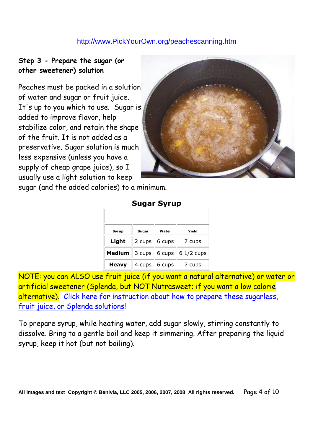#### **Step 3 - Prepare the sugar (or other sweetener) solution**

Peaches must be packed in a solution of water and sugar or fruit juice. It's up to you which to use. Sugar is added to improve flavor, help stabilize color, and retain the shape of the fruit. It is not added as a preservative. Sugar solution is much less expensive (unless you have a supply of cheap grape juice), so I usually use a light solution to keep



sugar (and the added calories) to a minimum.

| <b>Syrup</b> | Sugar            | Water              | Yield       |  |
|--------------|------------------|--------------------|-------------|--|
| Light        | $2 \text{ cups}$ | 6 cups             | 7 cups      |  |
| Medium       | 3 cups           | 6 cups $\parallel$ | $61/2$ cups |  |
| <b>Heavy</b> | 4 cups           | 6 cups             | 7 cups      |  |

**Sugar Syrup**

NOTE: you can ALSO use fruit juice (if you want a natural alternative) or water or artificial sweetener (Splenda, but NOT Nutrasweet; if you want a low calorie alternative). Click here for instruction about how to prepare these sugarless, fruit juice, or Splenda solutions!

To prepare syrup, while heating water, add sugar slowly, stirring constantly to dissolve. Bring to a gentle boil and keep it simmering. After preparing the liquid syrup, keep it hot (but not boiling).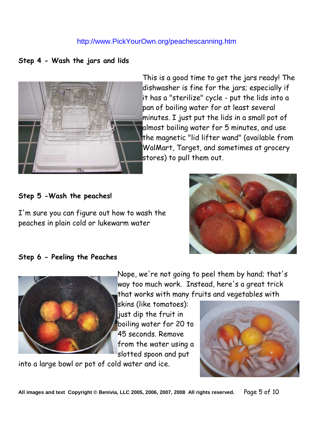**Step 4 - Wash the jars and lids**



This is a good time to get the jars ready! The dishwasher is fine for the jars; especially if it has a "sterilize" cycle - put the lids into a pan of boiling water for at least several minutes. I just put the lids in a small pot of almost boiling water for 5 minutes, and use the magnetic "lid lifter wand" (available from WalMart, Target, and sometimes at grocery stores) to pull them out.

#### **Step 5 -Wash the peaches!**

I'm sure you can figure out how to wash the peaches in plain cold or lukewarm water



#### **Step 6 - Peeling the Peaches**



Nope, we're not going to peel them by hand; that's way too much work. Instead, here's a great trick that works with many fruits and vegetables with

skins (like tomatoes): just dip the fruit in boiling water for 20 to 45 seconds. Remove from the water using a slotted spoon and put

into a large bowl or pot of cold water and ice.



**All images and text Copyright © Benivia, LLC 2005, 2006, 2007, 2008 All rights reserved.** Page 5 of 10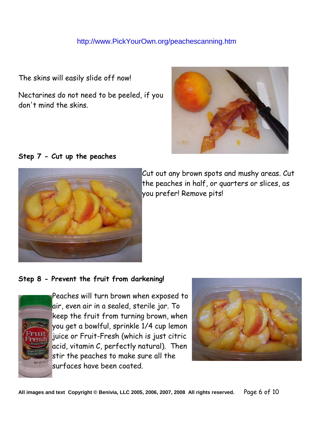The skins will easily slide off now!

Nectarines do not need to be peeled, if you don't mind the skins.



#### **Step 7 - Cut up the peaches**



Cut out any brown spots and mushy areas. Cut the peaches in half, or quarters or slices, as you prefer! Remove pits!

#### **Step 8 - Prevent the fruit from darkening!**



Peaches will turn brown when exposed to air, even air in a sealed, sterile jar. To keep the fruit from turning brown, when you get a bowlful, sprinkle 1/4 cup lemon juice or Fruit-Fresh (which is just citric acid, vitamin C, perfectly natural). Then stir the peaches to make sure all the surfaces have been coated.



**All images and text Copyright © Benivia, LLC 2005, 2006, 2007, 2008 All rights reserved.** Page 6 of 10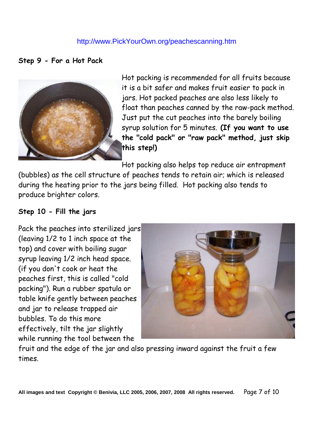#### **Step 9 - For a Hot Pack**



Hot packing is recommended for all fruits because it is a bit safer and makes fruit easier to pack in jars. Hot packed peaches are also less likely to float than peaches canned by the raw-pack method. Just put the cut peaches into the barely boiling syrup solution for 5 minutes. **(If you want to use the "cold pack" or "raw pack" method, just skip this step!)**

Hot packing also helps top reduce air entrapment

(bubbles) as the cell structure of peaches tends to retain air; which is released during the heating prior to the jars being filled. Hot packing also tends to produce brighter colors.

#### **Step 10 - Fill the jars**

Pack the peaches into sterilized jars (leaving 1/2 to 1 inch space at the top) and cover with boiling sugar syrup leaving 1/2 inch head space. (if you don't cook or heat the peaches first, this is called "cold packing"). Run a rubber spatula or table knife gently between peaches and jar to release trapped air bubbles. To do this more effectively, tilt the jar slightly while running the tool between the



fruit and the edge of the jar and also pressing inward against the fruit a few times.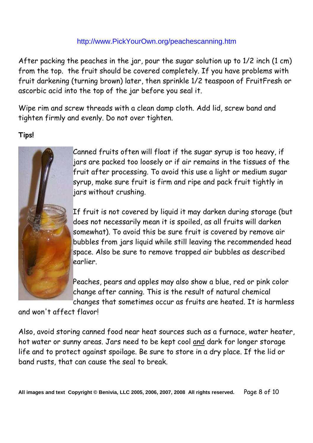After packing the peaches in the jar, pour the sugar solution up to 1/2 inch (1 cm) from the top. the fruit should be covered completely. If you have problems with fruit darkening (turning brown) later, then sprinkle 1/2 teaspoon of FruitFresh or ascorbic acid into the top of the jar before you seal it.

Wipe rim and screw threads with a clean damp cloth. Add lid, screw band and tighten firmly and evenly. Do not over tighten.

#### **Tips!**



Canned fruits often will float if the sugar syrup is too heavy, if jars are packed too loosely or if air remains in the tissues of the fruit after processing. To avoid this use a light or medium sugar syrup, make sure fruit is firm and ripe and pack fruit tightly in jars without crushing.

If fruit is not covered by liquid it may darken during storage (but does not necessarily mean it is spoiled, as all fruits will darken somewhat). To avoid this be sure fruit is covered by remove air bubbles from jars liquid while still leaving the recommended head space. Also be sure to remove trapped air bubbles as described earlier.

Peaches, pears and apples may also show a blue, red or pink color change after canning. This is the result of natural chemical changes that sometimes occur as fruits are heated. It is harmless

and won't affect flavor!

Also, avoid storing canned food near heat sources such as a furnace, water heater, hot water or sunny areas. Jars need to be kept cool and dark for longer storage life and to protect against spoilage. Be sure to store in a dry place. If the lid or band rusts, that can cause the seal to break.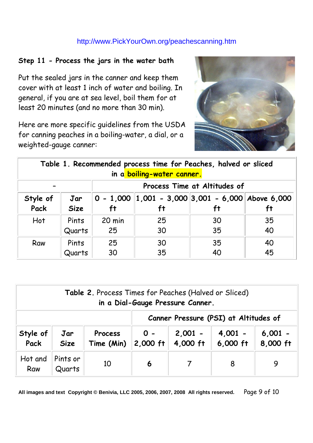#### **Step 11 - Process the jars in the water bath**

Put the sealed jars in the canner and keep them cover with at least 1 inch of water and boiling. In general, if you are at sea level, boil them for at least 20 minutes (and no more than 30 min).

Here are more specific guidelines from the USDA for canning peaches in a boiling-water, a dial, or a weighted-gauge canner:



| Table 1. Recommended process time for Peaches, halved or sliced<br>in a boiling-water canner. |                    |                              |                                                                 |          |          |  |
|-----------------------------------------------------------------------------------------------|--------------------|------------------------------|-----------------------------------------------------------------|----------|----------|--|
|                                                                                               |                    | Process Time at Altitudes of |                                                                 |          |          |  |
| Style of<br>Pack                                                                              | Jar<br><b>Size</b> | ft                           | $0 - 1,000$   1,001 - 3,000   3,001 - 6,000   Above 6,000<br>ft |          | ft       |  |
| Hot                                                                                           | Pints<br>Quarts    | 20 min<br>25                 | 25<br>30                                                        | 30<br>35 | 35<br>40 |  |
| Raw                                                                                           | Pints<br>Quarts    | 25<br>30                     | 30<br>35                                                        | 35<br>40 | 40<br>45 |  |

| <b>Table 2.</b> Process Times for Peaches (Halved or Sliced)<br>in a Dial-Gauge Pressure Canner. |                    |                                       |                     |                       |                         |                       |
|--------------------------------------------------------------------------------------------------|--------------------|---------------------------------------|---------------------|-----------------------|-------------------------|-----------------------|
|                                                                                                  |                    | Canner Pressure (PSI) at Altitudes of |                     |                       |                         |                       |
| Style of<br>Pack                                                                                 | Jar<br><b>Size</b> | <b>Process</b><br>Time (Min)          | $0 -$<br>$2,000$ ft | $2,001 -$<br>4,000 ft | $4,001 -$<br>$6,000$ ft | $6,001 -$<br>8,000 ft |
| Hot and<br>Raw                                                                                   | Pints or<br>Quarts | 10                                    | 6                   |                       | 8                       | 9                     |

**All images and text Copyright © Benivia, LLC 2005, 2006, 2007, 2008 All rights reserved.** Page 9 of 10